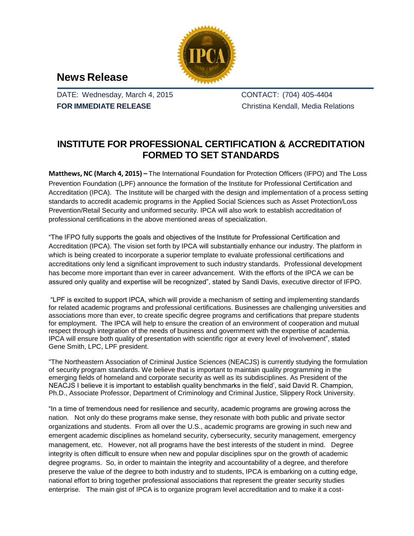

## **News Release**

DATE: Wednesday, March 4, 2015 **FOR IMMEDIATE RELEASE**

CONTACT: (704) 405-4404 Christina Kendall, Media Relations

## **INSTITUTE FOR PROFESSIONAL CERTIFICATION & ACCREDITATION FORMED TO SET STANDARDS**

**Matthews, NC (March 4, 2015) –** The International Foundation for Protection Officers (IFPO) and The Loss Prevention Foundation (LPF) announce the formation of the Institute for Professional Certification and Accreditation (IPCA). The Institute will be charged with the design and implementation of a process setting standards to accredit academic programs in the Applied Social Sciences such as Asset Protection/Loss Prevention/Retail Security and uniformed security. IPCA will also work to establish accreditation of professional certifications in the above mentioned areas of specialization.

"The IFPO fully supports the goals and objectives of the Institute for Professional Certification and Accreditation (IPCA). The vision set forth by IPCA will substantially enhance our industry. The platform in which is being created to incorporate a superior template to evaluate professional certifications and accreditations only lend a significant improvement to such industry standards. Professional development has become more important than ever in career advancement. With the efforts of the IPCA we can be assured only quality and expertise will be recognized", stated by Sandi Davis, executive director of IFPO.

"LPF is excited to support IPCA, which will provide a mechanism of setting and implementing standards for related academic programs and professional certifications. Businesses are challenging universities and associations more than ever, to create specific degree programs and certifications that prepare students for employment. The IPCA will help to ensure the creation of an environment of cooperation and mutual respect through integration of the needs of business and government with the expertise of academia. IPCA will ensure both quality of presentation with scientific rigor at every level of involvement", stated Gene Smith, LPC, LPF president.

"The Northeastern Association of Criminal Justice Sciences (NEACJS) is currently studying the formulation of security program standards. We believe that is important to maintain quality programming in the emerging fields of homeland and corporate security as well as its subdisciplines. As President of the NEACJS I believe it is important to establish quality benchmarks in the field', said David R. Champion, Ph.D., Associate Professor, Department of Criminology and Criminal Justice, Slippery Rock University.

"In a time of tremendous need for resilience and security, academic programs are growing across the nation. Not only do these programs make sense, they resonate with both public and private sector organizations and students. From all over the U.S., academic programs are growing in such new and emergent academic disciplines as homeland security, cybersecurity, security management, emergency management, etc. However, not all programs have the best interests of the student in mind. Degree integrity is often difficult to ensure when new and popular disciplines spur on the growth of academic degree programs. So, in order to maintain the integrity and accountability of a degree, and therefore preserve the value of the degree to both industry and to students, IPCA is embarking on a cutting edge, national effort to bring together professional associations that represent the greater security studies enterprise. The main gist of IPCA is to organize program level accreditation and to make it a cost